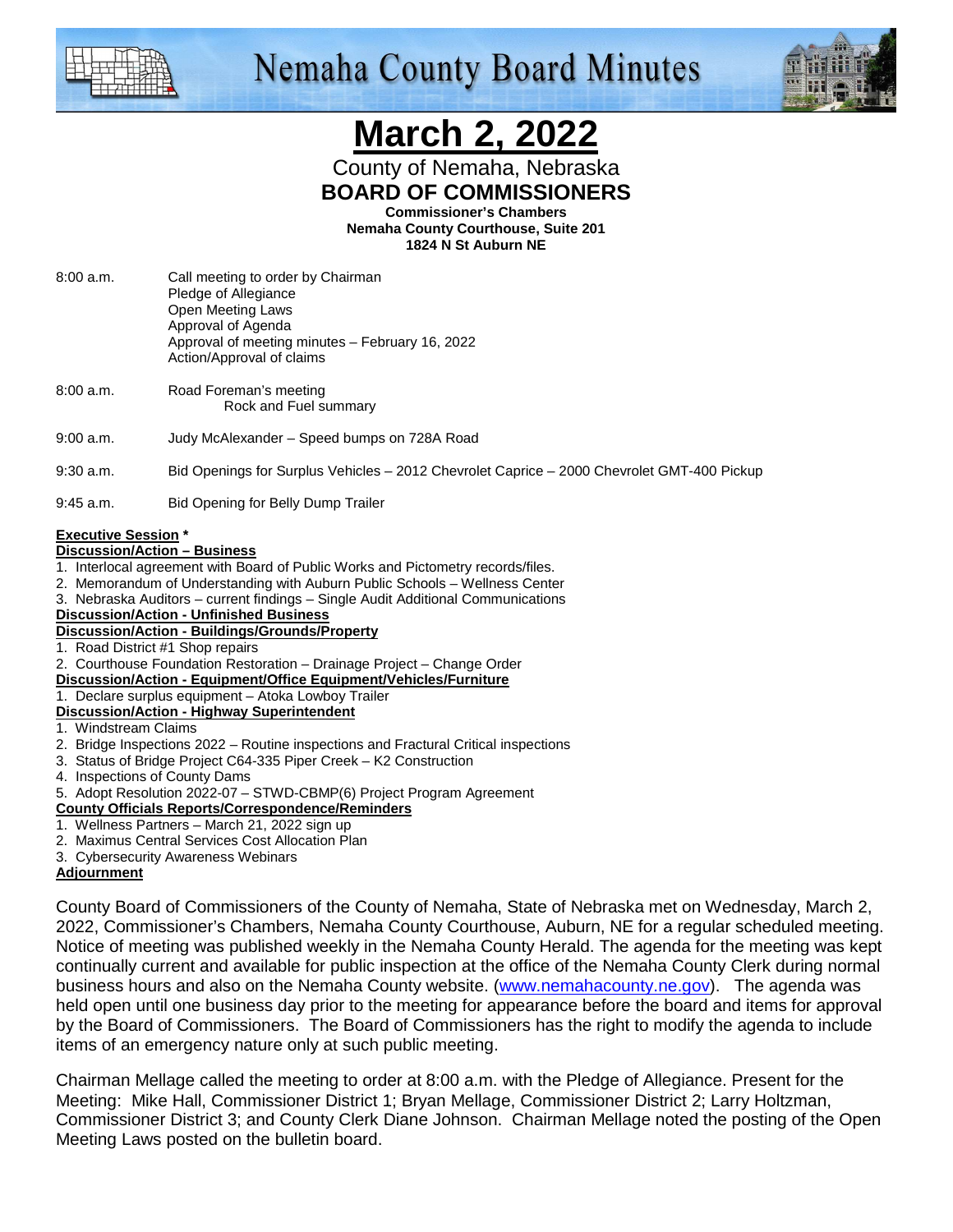

## **Nemaha County Board Minutes**



# **March 2, 2022**

County of Nemaha, Nebraska **BOARD OF COMMISSIONERS** 

**Commissioner's Chambers** 

**Nemaha County Courthouse, Suite 201 1824 N St Auburn NE** 

- 8:00 a.m. Call meeting to order by Chairman Pledge of Allegiance Open Meeting Laws Approval of Agenda Approval of meeting minutes – February 16, 2022 Action/Approval of claims
- 8:00 a.m. Road Foreman's meeting Rock and Fuel summary
- 9:00 a.m. Judy McAlexander Speed bumps on 728A Road

9:30 a.m. Bid Openings for Surplus Vehicles – 2012 Chevrolet Caprice – 2000 Chevrolet GMT-400 Pickup

9:45 a.m. Bid Opening for Belly Dump Trailer

#### **Executive Session \***

#### **Discussion/Action – Business**

- 1. Interlocal agreement with Board of Public Works and Pictometry records/files.
- 2. Memorandum of Understanding with Auburn Public Schools Wellness Center
- 3. Nebraska Auditors current findings Single Audit Additional Communications
- **Discussion/Action Unfinished Business**
- **Discussion/Action Buildings/Grounds/Property**
- 1. Road District #1 Shop repairs
- 2. Courthouse Foundation Restoration Drainage Project Change Order
- **Discussion/Action Equipment/Office Equipment/Vehicles/Furniture**
- 1. Declare surplus equipment Atoka Lowboy Trailer **Discussion/Action - Highway Superintendent**
- 1. Windstream Claims
- 2. Bridge Inspections 2022 Routine inspections and Fractural Critical inspections
- 3. Status of Bridge Project C64-335 Piper Creek K2 Construction
- 4. Inspections of County Dams
- 5. Adopt Resolution 2022-07 STWD-CBMP(6) Project Program Agreement

#### **County Officials Reports/Correspondence/Reminders**

- 1. Wellness Partners March 21, 2022 sign up
- 2. Maximus Central Services Cost Allocation Plan
- 3. Cybersecurity Awareness Webinars

#### **Adjournment**

County Board of Commissioners of the County of Nemaha, State of Nebraska met on Wednesday, March 2, 2022, Commissioner's Chambers, Nemaha County Courthouse, Auburn, NE for a regular scheduled meeting. Notice of meeting was published weekly in the Nemaha County Herald. The agenda for the meeting was kept continually current and available for public inspection at the office of the Nemaha County Clerk during normal business hours and also on the Nemaha County website. (www.nemahacounty.ne.gov). The agenda was held open until one business day prior to the meeting for appearance before the board and items for approval by the Board of Commissioners. The Board of Commissioners has the right to modify the agenda to include items of an emergency nature only at such public meeting.

Chairman Mellage called the meeting to order at 8:00 a.m. with the Pledge of Allegiance. Present for the Meeting: Mike Hall, Commissioner District 1; Bryan Mellage, Commissioner District 2; Larry Holtzman, Commissioner District 3; and County Clerk Diane Johnson. Chairman Mellage noted the posting of the Open Meeting Laws posted on the bulletin board.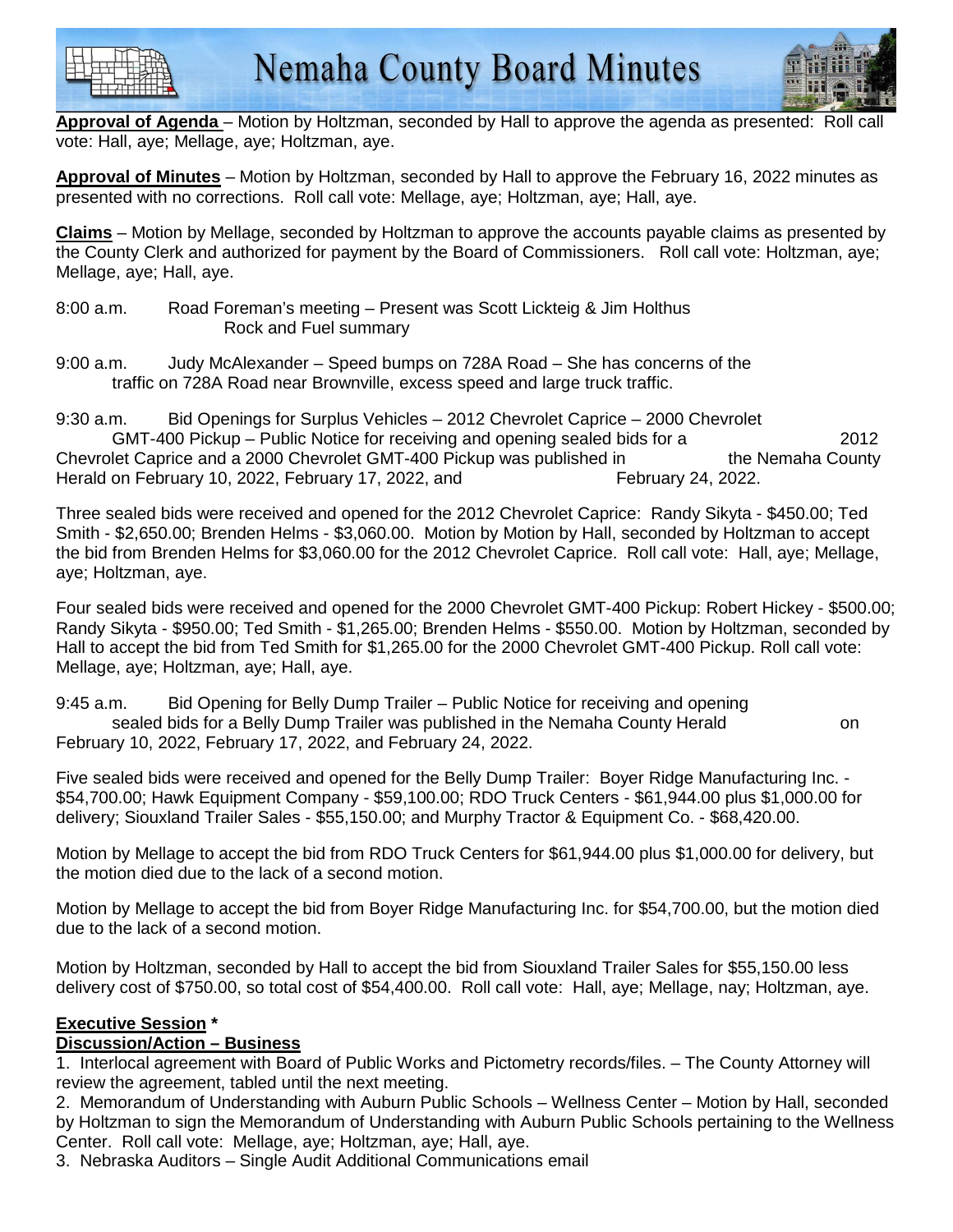



**Approval of Agenda** – Motion by Holtzman, seconded by Hall to approve the agenda as presented: Roll vote: Hall, aye; Mellage, aye; Holtzman, aye.

**Approval of Minutes** – Motion by Holtzman, seconded by Hall to approve the February 16, 2022 minutes as presented with no corrections. Roll call vote: Mellage, aye; Holtzman, aye; Hall, aye.

**Claims** – Motion by Mellage, seconded by Holtzman to approve the accounts payable claims as presented by the County Clerk and authorized for payment by the Board of Commissioners. Roll call vote: Holtzman, aye; Mellage, aye; Hall, aye.

- 8:00 a.m. Road Foreman's meeting Present was Scott Lickteig & Jim Holthus Rock and Fuel summary
- 9:00 a.m. Judy McAlexander Speed bumps on 728A Road She has concerns of the traffic on 728A Road near Brownville, excess speed and large truck traffic.

9:30 a.m. Bid Openings for Surplus Vehicles – 2012 Chevrolet Caprice – 2000 Chevrolet GMT-400 Pickup – Public Notice for receiving and opening sealed bids for a 2012 Chevrolet Caprice and a 2000 Chevrolet GMT-400 Pickup was published in the Nemaha County Herald on February 10, 2022, February 17, 2022, and February 24, 2022.

Three sealed bids were received and opened for the 2012 Chevrolet Caprice: Randy Sikyta - \$450.00; Ted Smith - \$2,650.00; Brenden Helms - \$3,060.00. Motion by Motion by Hall, seconded by Holtzman to accept the bid from Brenden Helms for \$3,060.00 for the 2012 Chevrolet Caprice. Roll call vote: Hall, aye; Mellage, aye; Holtzman, aye.

Four sealed bids were received and opened for the 2000 Chevrolet GMT-400 Pickup: Robert Hickey - \$500.00; Randy Sikyta - \$950.00; Ted Smith - \$1,265.00; Brenden Helms - \$550.00. Motion by Holtzman, seconded by Hall to accept the bid from Ted Smith for \$1,265.00 for the 2000 Chevrolet GMT-400 Pickup. Roll call vote: Mellage, aye; Holtzman, aye; Hall, aye.

9:45 a.m. Bid Opening for Belly Dump Trailer – Public Notice for receiving and opening sealed bids for a Belly Dump Trailer was published in the Nemaha County Herald on February 10, 2022, February 17, 2022, and February 24, 2022.

Five sealed bids were received and opened for the Belly Dump Trailer: Boyer Ridge Manufacturing Inc. - \$54,700.00; Hawk Equipment Company - \$59,100.00; RDO Truck Centers - \$61,944.00 plus \$1,000.00 for delivery; Siouxland Trailer Sales - \$55,150.00; and Murphy Tractor & Equipment Co. - \$68,420.00.

Motion by Mellage to accept the bid from RDO Truck Centers for \$61,944.00 plus \$1,000.00 for delivery, but the motion died due to the lack of a second motion.

Motion by Mellage to accept the bid from Boyer Ridge Manufacturing Inc. for \$54,700.00, but the motion died due to the lack of a second motion.

Motion by Holtzman, seconded by Hall to accept the bid from Siouxland Trailer Sales for \$55,150.00 less delivery cost of \$750.00, so total cost of \$54,400.00. Roll call vote: Hall, aye; Mellage, nay; Holtzman, aye.

#### **Executive Session \***

#### **Discussion/Action – Business**

1. Interlocal agreement with Board of Public Works and Pictometry records/files. – The County Attorney will review the agreement, tabled until the next meeting.

2. Memorandum of Understanding with Auburn Public Schools – Wellness Center – Motion by Hall, seconded by Holtzman to sign the Memorandum of Understanding with Auburn Public Schools pertaining to the Wellness Center. Roll call vote: Mellage, aye; Holtzman, aye; Hall, aye.

3. Nebraska Auditors – Single Audit Additional Communications email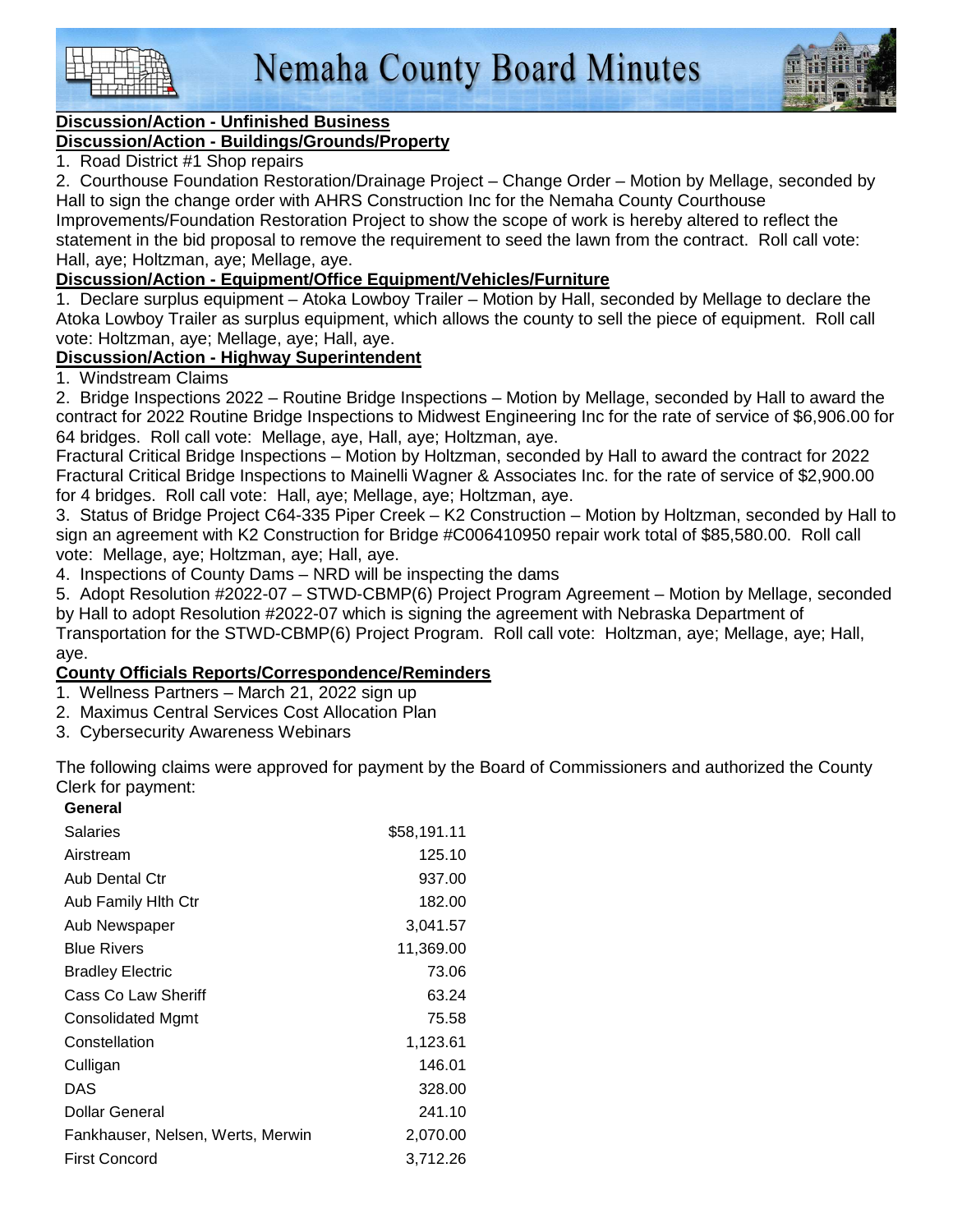



### **Discussion/Action - Unfinished Business**

#### **Discussion/Action - Buildings/Grounds/Property**

1. Road District #1 Shop repairs

2. Courthouse Foundation Restoration/Drainage Project – Change Order – Motion by Mellage, seconded by Hall to sign the change order with AHRS Construction Inc for the Nemaha County Courthouse

Improvements/Foundation Restoration Project to show the scope of work is hereby altered to reflect the statement in the bid proposal to remove the requirement to seed the lawn from the contract. Roll call vote: Hall, aye; Holtzman, aye; Mellage, aye.

#### **Discussion/Action - Equipment/Office Equipment/Vehicles/Furniture**

1. Declare surplus equipment – Atoka Lowboy Trailer – Motion by Hall, seconded by Mellage to declare the Atoka Lowboy Trailer as surplus equipment, which allows the county to sell the piece of equipment. Roll call vote: Holtzman, aye; Mellage, aye; Hall, aye.

#### **Discussion/Action - Highway Superintendent**

#### 1. Windstream Claims

2. Bridge Inspections 2022 – Routine Bridge Inspections – Motion by Mellage, seconded by Hall to award the contract for 2022 Routine Bridge Inspections to Midwest Engineering Inc for the rate of service of \$6,906.00 for 64 bridges. Roll call vote: Mellage, aye, Hall, aye; Holtzman, aye.

Fractural Critical Bridge Inspections – Motion by Holtzman, seconded by Hall to award the contract for 2022 Fractural Critical Bridge Inspections to Mainelli Wagner & Associates Inc. for the rate of service of \$2,900.00 for 4 bridges. Roll call vote: Hall, aye; Mellage, aye; Holtzman, aye.

3. Status of Bridge Project C64-335 Piper Creek – K2 Construction – Motion by Holtzman, seconded by Hall to sign an agreement with K2 Construction for Bridge #C006410950 repair work total of \$85,580.00. Roll call vote: Mellage, aye; Holtzman, aye; Hall, aye.

4. Inspections of County Dams – NRD will be inspecting the dams

5. Adopt Resolution #2022-07 – STWD-CBMP(6) Project Program Agreement – Motion by Mellage, seconded by Hall to adopt Resolution #2022-07 which is signing the agreement with Nebraska Department of

Transportation for the STWD-CBMP(6) Project Program. Roll call vote: Holtzman, aye; Mellage, aye; Hall, aye.

#### **County Officials Reports/Correspondence/Reminders**

1. Wellness Partners – March 21, 2022 sign up

- 2. Maximus Central Services Cost Allocation Plan
- 3. Cybersecurity Awareness Webinars

The following claims were approved for payment by the Board of Commissioners and authorized the County Clerk for payment: **General** 

| uchai                             |             |
|-----------------------------------|-------------|
| Salaries                          | \$58,191.11 |
| Airstream                         | 125.10      |
| Aub Dental Ctr                    | 937.00      |
| Aub Family Hith Ctr               | 182.00      |
| Aub Newspaper                     | 3,041.57    |
| <b>Blue Rivers</b>                | 11,369.00   |
| <b>Bradley Electric</b>           | 73.06       |
| Cass Co Law Sheriff               | 63.24       |
| Consolidated Mgmt                 | 75.58       |
| Constellation                     | 1,123.61    |
| Culligan                          | 146.01      |
| DAS                               | 328.00      |
| Dollar General                    | 241.10      |
| Fankhauser, Nelsen, Werts, Merwin | 2,070.00    |
| <b>First Concord</b>              | 3,712.26    |
|                                   |             |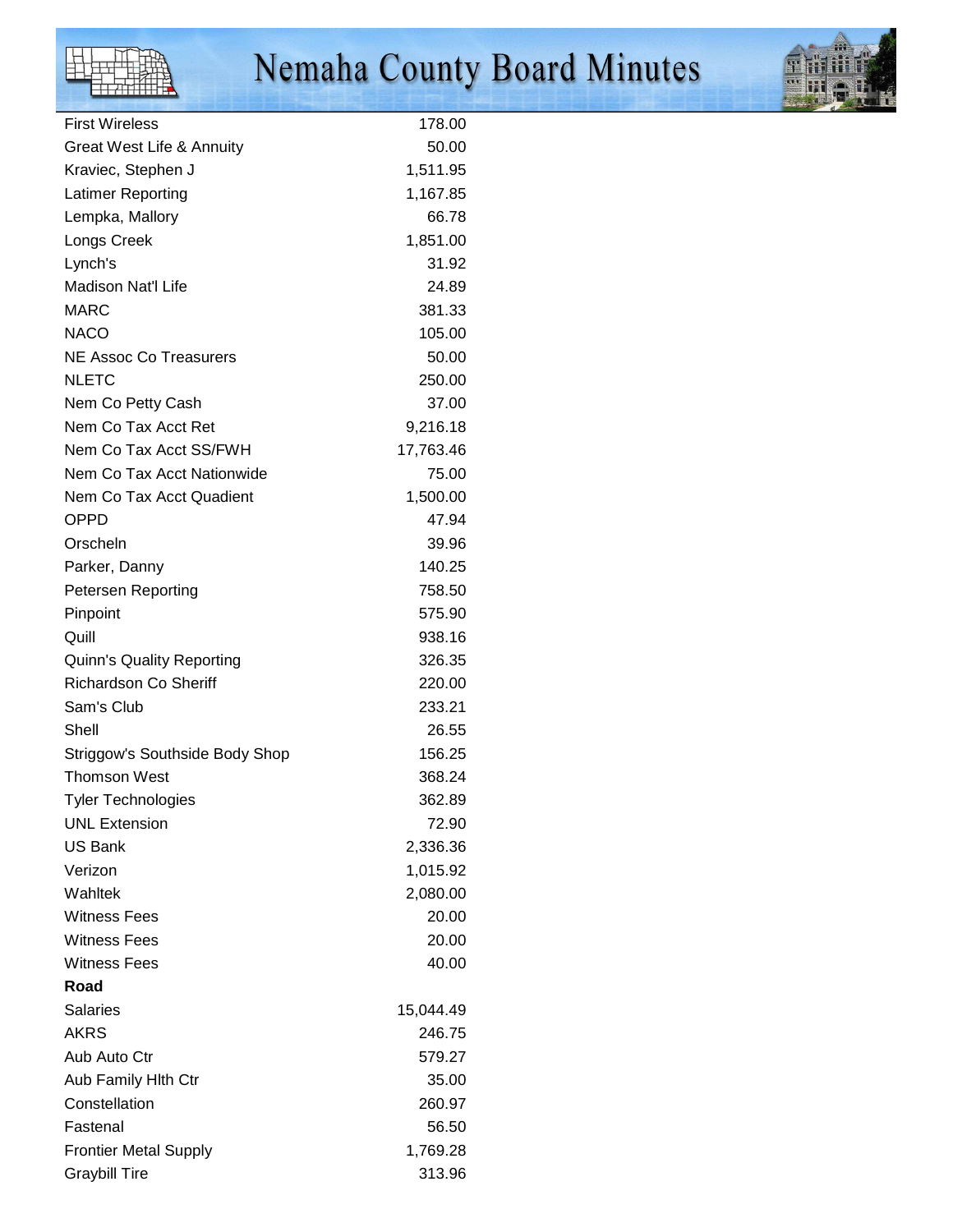

# Nemaha County Board Minutes



| <b>First Wireless</b>                | 178.00    |
|--------------------------------------|-----------|
| <b>Great West Life &amp; Annuity</b> | 50.00     |
| Kraviec, Stephen J                   | 1,511.95  |
| Latimer Reporting                    | 1,167.85  |
| Lempka, Mallory                      | 66.78     |
| Longs Creek                          | 1,851.00  |
| Lynch's                              | 31.92     |
| Madison Nat'l Life                   | 24.89     |
| <b>MARC</b>                          | 381.33    |
| <b>NACO</b>                          | 105.00    |
| <b>NE Assoc Co Treasurers</b>        | 50.00     |
| <b>NLETC</b>                         | 250.00    |
| Nem Co Petty Cash                    | 37.00     |
| Nem Co Tax Acct Ret                  | 9,216.18  |
| Nem Co Tax Acct SS/FWH               | 17,763.46 |
| Nem Co Tax Acct Nationwide           | 75.00     |
| Nem Co Tax Acct Quadient             | 1,500.00  |
| <b>OPPD</b>                          | 47.94     |
| Orscheln                             | 39.96     |
| Parker, Danny                        | 140.25    |
| Petersen Reporting                   | 758.50    |
| Pinpoint                             | 575.90    |
| Quill                                | 938.16    |
| <b>Quinn's Quality Reporting</b>     | 326.35    |
| <b>Richardson Co Sheriff</b>         | 220.00    |
| Sam's Club                           | 233.21    |
| Shell                                | 26.55     |
| Striggow's Southside Body Shop       | 156.25    |
| <b>Thomson West</b>                  | 368.24    |
| Tyler Technologies                   | 362.89    |
| <b>UNL Extension</b>                 | 72.90     |
| <b>US Bank</b>                       | 2,336.36  |
| Verizon                              | 1,015.92  |
| Wahltek                              | 2,080.00  |
| <b>Witness Fees</b>                  | 20.00     |
| <b>Witness Fees</b>                  | 20.00     |
| <b>Witness Fees</b>                  | 40.00     |
| Road                                 |           |
| <b>Salaries</b>                      | 15,044.49 |
| <b>AKRS</b>                          | 246.75    |
| Aub Auto Ctr                         | 579.27    |
| Aub Family Hith Ctr                  | 35.00     |
| Constellation                        | 260.97    |
| Fastenal                             | 56.50     |
| <b>Frontier Metal Supply</b>         | 1,769.28  |
| <b>Graybill Tire</b>                 | 313.96    |